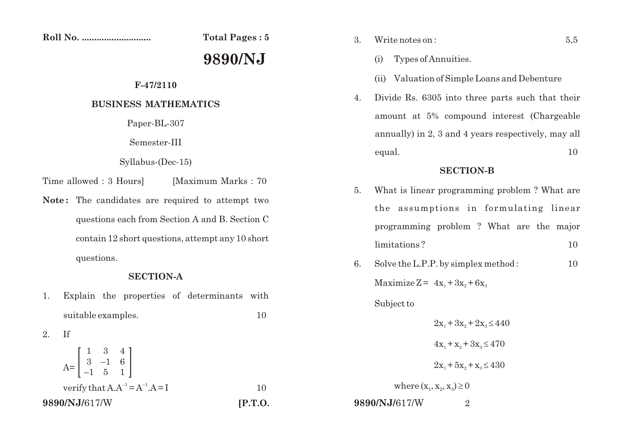$Total Pages: 5$ 

# **9890/NJ**

# **F-47/2110**

## **BUSINESS MATHEMATICS**

Paper-BL-307

Semester-III

#### Syllabus-(Dec-15)

- Time allowed : 3 Hours | Maximum Marks : 70
- Note: The candidates are required to attempt two questions each from Section A and B. Section C contain 12 short questions, attempt any 10 short questions.

### **SECTION-A**

1. Explain the properties of determinants with suitable examples. 10

$$
2. \tIf
$$

| 9890/NJ/617/W                                                             | [P.T.O. |
|---------------------------------------------------------------------------|---------|
| verify that $A.A^{-1} = A^{-1}.A = I$                                     |         |
| $A = \begin{bmatrix} 1 & 3 & 4 \\ 3 & -1 & 6 \\ -1 & 5 & 1 \end{bmatrix}$ |         |

- 3. Write notes on : 5,5
	- (i) Types of Annuities.
	- (ii) Valuation of Simple Loans and Debenture
- 4. Divide Rs. 6305 into three parts such that their amount at 5% compound interest (Chargeable annually) in 2, 3 and 4 years respectively, may all equal. 10

## **SECTION-B**

- 5. What is linear programming problem ? What are the assumptions in formulating linear programming problem ? What are the major limitations ? 10
- 6. Solve the L.P.P. by simplex method : 10 Maximize  $Z = 4x_1 + 3x_2 + 6x_3$ Subject to

 $2x_1 + 3x_2 + 2x_2$  $4x_1 + x_2 + 3x_3$  $2x_1 + 5x_2 + x_3$ where  $(x_1, x_2, x_3)$ 

**9890/NJ/**617/W 2